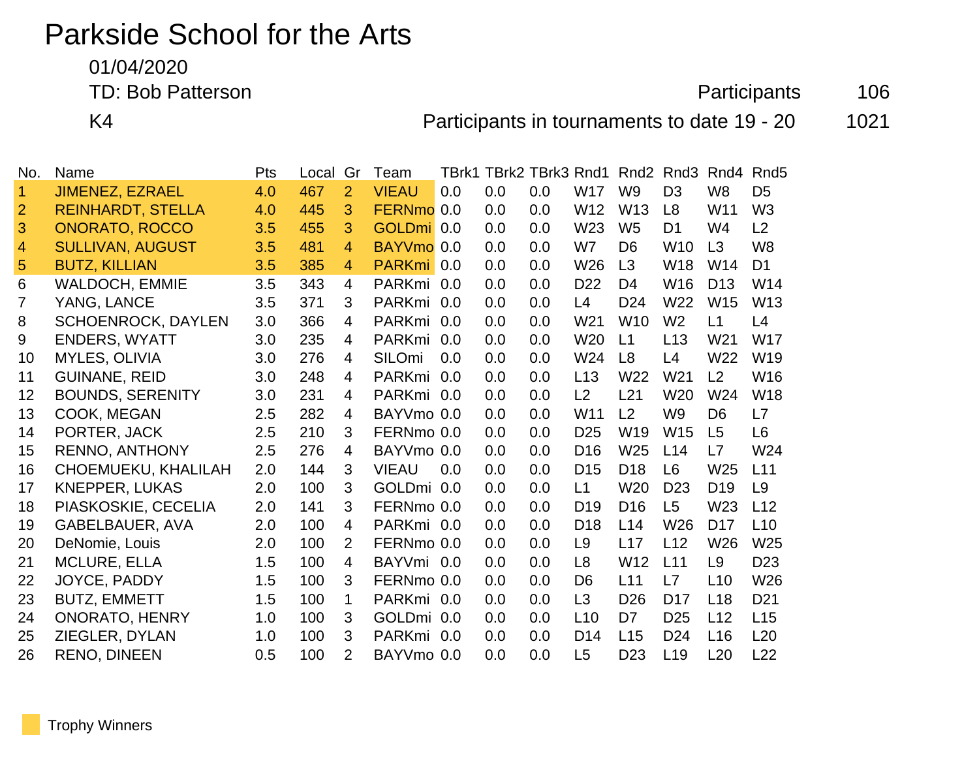# Parkside School for the Arts

01/04/2020

TD: Bob Patterson **Participants** 106

K4 **Participants in tournaments to date 19 - 20** 1021

| No.            | Name                      | Pts | Local | Gr             | Team                  | TBrk1 |     | TBrk2 TBrk3 Rnd1 |                 | Rnd <sub>2</sub> | Rnd <sub>3</sub> | Rnd4            | Rnd <sub>5</sub> |
|----------------|---------------------------|-----|-------|----------------|-----------------------|-------|-----|------------------|-----------------|------------------|------------------|-----------------|------------------|
| 1              | <b>JIMENEZ, EZRAEL</b>    | 4.0 | 467   | $\overline{2}$ | <b>VIEAU</b>          | 0.0   | 0.0 | 0.0              | <b>W17</b>      | W <sub>9</sub>   | D <sub>3</sub>   | W <sub>8</sub>  | D <sub>5</sub>   |
| $\overline{2}$ | <b>REINHARDT, STELLA</b>  | 4.0 | 445   | 3              | FERNmo 0.0            |       | 0.0 | 0.0              | W12             | W <sub>13</sub>  | L <sub>8</sub>   | W11             | W <sub>3</sub>   |
| 3              | <b>ONORATO, ROCCO</b>     | 3.5 | 455   | 3              | GOLDmi 0.0            |       | 0.0 | 0.0              | W <sub>23</sub> | W <sub>5</sub>   | D <sub>1</sub>   | W4              | L2               |
| 4              | <b>SULLIVAN, AUGUST</b>   | 3.5 | 481   | 4              | BAYVmo <sub>0.0</sub> |       | 0.0 | 0.0              | W7              | D <sub>6</sub>   | W <sub>10</sub>  | L3              | W <sub>8</sub>   |
| 5              | <b>BUTZ, KILLIAN</b>      | 3.5 | 385   | $\overline{4}$ | PARKmi <sup>0.0</sup> |       | 0.0 | 0.0              | W26             | L3               | <b>W18</b>       | W14             | D <sub>1</sub>   |
| 6              | <b>WALDOCH, EMMIE</b>     | 3.5 | 343   | 4              | PARKmi 0.0            |       | 0.0 | 0.0              | D <sub>22</sub> | D <sub>4</sub>   | W16              | D <sub>13</sub> | W14              |
| $\overline{7}$ | YANG, LANCE               | 3.5 | 371   | 3              | PARKmi 0.0            |       | 0.0 | 0.0              | L4              | D <sub>24</sub>  | W <sub>22</sub>  | W <sub>15</sub> | W <sub>13</sub>  |
| 8              | <b>SCHOENROCK, DAYLEN</b> | 3.0 | 366   | 4              | PARKmi 0.0            |       | 0.0 | 0.0              | W <sub>21</sub> | W <sub>10</sub>  | W <sub>2</sub>   | L1              | L4               |
| 9              | <b>ENDERS, WYATT</b>      | 3.0 | 235   | 4              | <b>PARKmi</b>         | 0.0   | 0.0 | 0.0              | W20             | L1               | L13              | W <sub>21</sub> | <b>W17</b>       |
| 10             | MYLES, OLIVIA             | 3.0 | 276   | 4              | SILOmi                | 0.0   | 0.0 | 0.0              | W24             | L <sub>8</sub>   | L4               | W <sub>22</sub> | W <sub>19</sub>  |
| 11             | <b>GUINANE, REID</b>      | 3.0 | 248   | 4              | <b>PARKmi</b>         | 0.0   | 0.0 | 0.0              | L13             | W <sub>22</sub>  | W <sub>21</sub>  | L <sub>2</sub>  | W <sub>16</sub>  |
| 12             | <b>BOUNDS, SERENITY</b>   | 3.0 | 231   | 4              | PARKmi 0.0            |       | 0.0 | 0.0              | L2              | L21              | W <sub>20</sub>  | W24             | W18              |
| 13             | COOK, MEGAN               | 2.5 | 282   | 4              | BAYVmo 0.0            |       | 0.0 | 0.0              | W <sub>11</sub> | L2               | W <sub>9</sub>   | D <sub>6</sub>  | L7               |
| 14             | PORTER, JACK              | 2.5 | 210   | 3              | FERNmo 0.0            |       | 0.0 | 0.0              | D <sub>25</sub> | W <sub>19</sub>  | <b>W15</b>       | L5              | L6               |
| 15             | <b>RENNO, ANTHONY</b>     | 2.5 | 276   | 4              | BAYVmo 0.0            |       | 0.0 | 0.0              | D <sub>16</sub> | W <sub>25</sub>  | L14              | L7              | W24              |
| 16             | CHOEMUEKU, KHALILAH       | 2.0 | 144   | 3              | <b>VIEAU</b>          | 0.0   | 0.0 | 0.0              | D <sub>15</sub> | D <sub>18</sub>  | L <sub>6</sub>   | W25             | L11              |
| 17             | <b>KNEPPER, LUKAS</b>     | 2.0 | 100   | 3              | GOLDmi 0.0            |       | 0.0 | 0.0              | L1              | W20              | D <sub>23</sub>  | D <sub>19</sub> | L <sub>9</sub>   |
| 18             | PIASKOSKIE, CECELIA       | 2.0 | 141   | 3              | FERNmo 0.0            |       | 0.0 | 0.0              | D <sub>19</sub> | D <sub>16</sub>  | L <sub>5</sub>   | W23             | L12              |
| 19             | GABELBAUER, AVA           | 2.0 | 100   | 4              | PARKmi 0.0            |       | 0.0 | 0.0              | D <sub>18</sub> | L14              | W26              | D <sub>17</sub> | L10              |
| 20             | DeNomie, Louis            | 2.0 | 100   | 2              | FERNmo 0.0            |       | 0.0 | 0.0              | L <sub>9</sub>  | L17              | L12              | W <sub>26</sub> | W25              |
| 21             | <b>MCLURE, ELLA</b>       | 1.5 | 100   | 4              | BAYVmi 0.0            |       | 0.0 | 0.0              | L <sub>8</sub>  | W <sub>12</sub>  | L11              | L <sub>9</sub>  | D <sub>23</sub>  |
| 22             | JOYCE, PADDY              | 1.5 | 100   | 3              | FERNmo 0.0            |       | 0.0 | 0.0              | D <sub>6</sub>  | L11              | L7               | L10             | W26              |
| 23             | <b>BUTZ, EMMETT</b>       | 1.5 | 100   | $\mathbf 1$    | PARKmi 0.0            |       | 0.0 | 0.0              | L <sub>3</sub>  | D <sub>26</sub>  | D <sub>17</sub>  | L18             | D <sub>21</sub>  |
| 24             | <b>ONORATO, HENRY</b>     | 1.0 | 100   | 3              | GOLDmi 0.0            |       | 0.0 | 0.0              | L10             | D <sub>7</sub>   | D <sub>25</sub>  | L12             | L15              |
| 25             | ZIEGLER, DYLAN            | 1.0 | 100   | 3              | PARKmi 0.0            |       | 0.0 | 0.0              | D <sub>14</sub> | L15              | D <sub>24</sub>  | L16             | L20              |
| 26             | <b>RENO, DINEEN</b>       | 0.5 | 100   | $\overline{2}$ | BAYVmo 0.0            |       | 0.0 | 0.0              | L <sub>5</sub>  | D <sub>23</sub>  | L <sub>19</sub>  | L20             | L22              |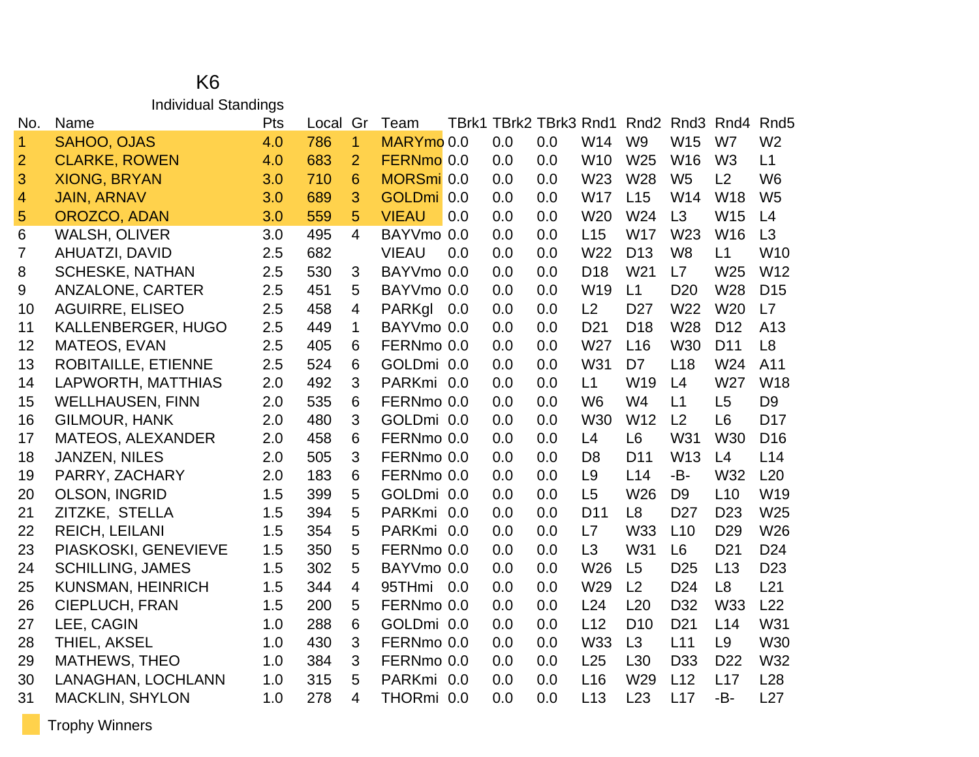#### K6 Individual Standings

| No.             | Name                       | Pts | Local | Gr             | Team         | TBrk1 |     | TBrk2 TBrk3 Rnd1 |                 | Rnd <sub>2</sub> | Rnd3            | Rnd4            | Rnd <sub>5</sub> |
|-----------------|----------------------------|-----|-------|----------------|--------------|-------|-----|------------------|-----------------|------------------|-----------------|-----------------|------------------|
| 1               | <b>SAHOO, OJAS</b>         | 4.0 | 786   | $\mathbf{1}$   | MARYmo 0.0   |       | 0.0 | 0.0              | W14             | W <sub>9</sub>   | W15             | W7              | W <sub>2</sub>   |
| $\overline{2}$  | <b>CLARKE, ROWEN</b>       | 4.0 | 683   | $\overline{2}$ | FERNmo 0.0   |       | 0.0 | 0.0              | W <sub>10</sub> | W25              | W16             | W <sub>3</sub>  | L1               |
| 3               | <b>XIONG, BRYAN</b>        | 3.0 | 710   | 6              | MORSmi 0.0   |       | 0.0 | 0.0              | W <sub>23</sub> | W28              | W <sub>5</sub>  | L2              | W <sub>6</sub>   |
| 4               | <b>JAIN, ARNAV</b>         | 3.0 | 689   | 3              | GOLDmi 0.0   |       | 0.0 | 0.0              | <b>W17</b>      | L15              | W14             | <b>W18</b>      | W <sub>5</sub>   |
| 5               | OROZCO, ADAN               | 3.0 | 559   | 5              | <b>VIEAU</b> | 0.0   | 0.0 | 0.0              | W <sub>20</sub> | W24              | L3              | W15             | L4               |
| $6\phantom{1}6$ | <b>WALSH, OLIVER</b>       | 3.0 | 495   | $\overline{4}$ | BAYVmo 0.0   |       | 0.0 | 0.0              | L15             | <b>W17</b>       | W23             | <b>W16</b>      | L3               |
| 7               | <b>AHUATZI, DAVID</b>      | 2.5 | 682   |                | <b>VIEAU</b> | 0.0   | 0.0 | 0.0              | W22             | D <sub>13</sub>  | W <sub>8</sub>  | L1              | W <sub>10</sub>  |
| 8               | <b>SCHESKE, NATHAN</b>     | 2.5 | 530   | 3              | BAYVmo 0.0   |       | 0.0 | 0.0              | D <sub>18</sub> | W21              | L7              | W25             | W12              |
| 9               | <b>ANZALONE, CARTER</b>    | 2.5 | 451   | 5              | BAYVmo 0.0   |       | 0.0 | 0.0              | W <sub>19</sub> | L1               | D <sub>20</sub> | W28             | D <sub>15</sub>  |
| 10              | <b>AGUIRRE, ELISEO</b>     | 2.5 | 458   | 4              | PARKgl       | 0.0   | 0.0 | 0.0              | L2              | D <sub>27</sub>  | W22             | W20             | L7               |
| 11              | KALLENBERGER, HUGO         | 2.5 | 449   | 1              | BAYVmo 0.0   |       | 0.0 | 0.0              | D <sub>21</sub> | D <sub>18</sub>  | W28             | D <sub>12</sub> | A13              |
| 12              | <b>MATEOS, EVAN</b>        | 2.5 | 405   | 6              | FERNmo 0.0   |       | 0.0 | 0.0              | W27             | L16              | <b>W30</b>      | D <sub>11</sub> | L <sub>8</sub>   |
| 13              | <b>ROBITAILLE, ETIENNE</b> | 2.5 | 524   | 6              | GOLDmi 0.0   |       | 0.0 | 0.0              | W31             | D7               | L18             | W24             | A11              |
| 14              | LAPWORTH, MATTHIAS         | 2.0 | 492   | 3              | PARKmi 0.0   |       | 0.0 | 0.0              | L1              | W19              | L4              | W27             | W18              |
| 15              | <b>WELLHAUSEN, FINN</b>    | 2.0 | 535   | 6              | FERNmo 0.0   |       | 0.0 | 0.0              | W <sub>6</sub>  | W <sub>4</sub>   | L1              | L5              | D <sub>9</sub>   |
| 16              | <b>GILMOUR, HANK</b>       | 2.0 | 480   | 3              | GOLDmi 0.0   |       | 0.0 | 0.0              | W30             | W <sub>12</sub>  | L2              | L <sub>6</sub>  | D <sub>17</sub>  |
| 17              | <b>MATEOS, ALEXANDER</b>   | 2.0 | 458   | 6              | FERNmo 0.0   |       | 0.0 | 0.0              | L4              | L <sub>6</sub>   | W31             | <b>W30</b>      | D <sub>16</sub>  |
| 18              | <b>JANZEN, NILES</b>       | 2.0 | 505   | 3              | FERNmo 0.0   |       | 0.0 | 0.0              | D <sub>8</sub>  | D <sub>11</sub>  | W13             | L4              | L14              |
| 19              | PARRY, ZACHARY             | 2.0 | 183   | 6              | FERNmo 0.0   |       | 0.0 | 0.0              | L <sub>9</sub>  | L14              | -B-             | W32             | L20              |
| 20              | OLSON, INGRID              | 1.5 | 399   | 5              | GOLDmi 0.0   |       | 0.0 | 0.0              | L5              | W <sub>26</sub>  | D <sub>9</sub>  | L10             | W19              |
| 21              | ZITZKE, STELLA             | 1.5 | 394   | 5              | PARKmi 0.0   |       | 0.0 | 0.0              | D <sub>11</sub> | L <sub>8</sub>   | D <sub>27</sub> | D <sub>23</sub> | W25              |
| 22              | <b>REICH, LEILANI</b>      | 1.5 | 354   | 5              | PARKmi 0.0   |       | 0.0 | 0.0              | L7              | <b>W33</b>       | L10             | D <sub>29</sub> | W26              |
| 23              | PIASKOSKI, GENEVIEVE       | 1.5 | 350   | 5              | FERNmo 0.0   |       | 0.0 | 0.0              | L3              | W31              | L <sub>6</sub>  | D <sub>21</sub> | D <sub>24</sub>  |
| 24              | <b>SCHILLING, JAMES</b>    | 1.5 | 302   | 5              | BAYVmo 0.0   |       | 0.0 | 0.0              | W26             | L <sub>5</sub>   | D <sub>25</sub> | L13             | D <sub>23</sub>  |
| 25              | <b>KUNSMAN, HEINRICH</b>   | 1.5 | 344   | 4              | 95THmi 0.0   |       | 0.0 | 0.0              | W29             | L2               | D <sub>24</sub> | L <sub>8</sub>  | L21              |
| 26              | <b>CIEPLUCH, FRAN</b>      | 1.5 | 200   | 5              | FERNmo 0.0   |       | 0.0 | 0.0              | L24             | L20              | D32             | <b>W33</b>      | L22              |
| 27              | LEE, CAGIN                 | 1.0 | 288   | 6              | GOLDmi 0.0   |       | 0.0 | 0.0              | L12             | D <sub>10</sub>  | D <sub>21</sub> | L14             | W31              |
| 28              | THIEL, AKSEL               | 1.0 | 430   | 3              | FERNmo 0.0   |       | 0.0 | 0.0              | W33             | L3               | L11             | L <sub>9</sub>  | W30              |
| 29              | <b>MATHEWS, THEO</b>       | 1.0 | 384   | 3              | FERNmo 0.0   |       | 0.0 | 0.0              | L25             | L <sub>30</sub>  | D <sub>33</sub> | D <sub>22</sub> | W32              |
| 30              | LANAGHAN, LOCHLANN         | 1.0 | 315   | 5              | PARKmi 0.0   |       | 0.0 | 0.0              | L16             | W29              | L12             | L17             | L28              |
| 31              | <b>MACKLIN, SHYLON</b>     | 1.0 | 278   | 4              | THORmi 0.0   |       | 0.0 | 0.0              | L13             | L23              | L17             | -B-             | L27              |

Trophy Winners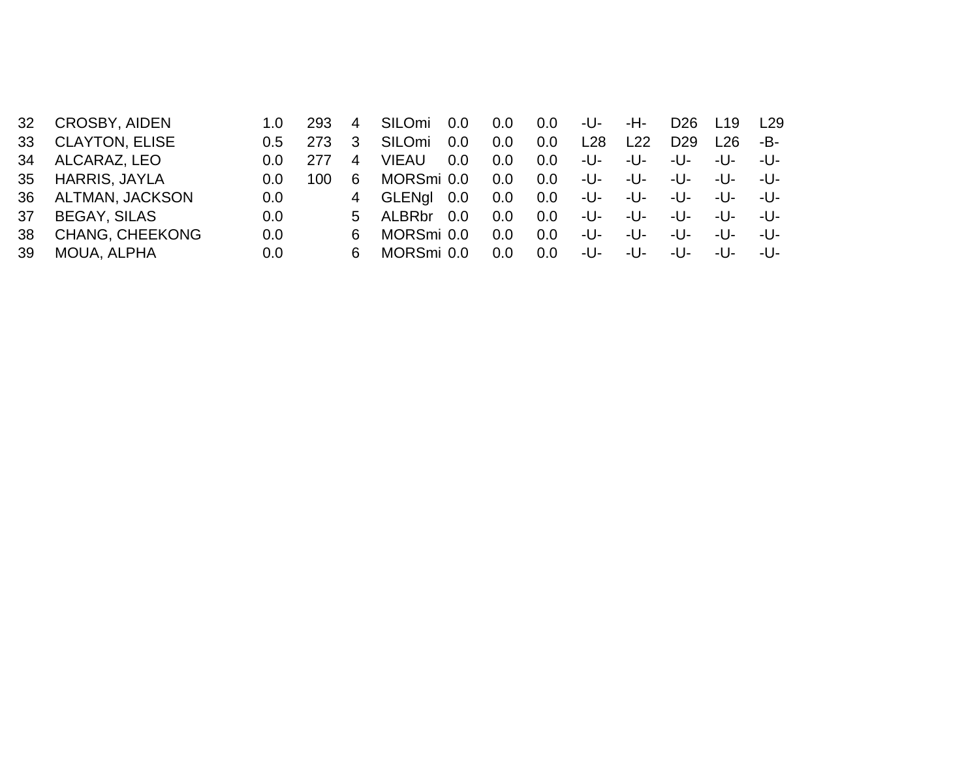| <b>CROSBY, AIDEN</b>   | 1.O                                              | 293  | 4  | SILOmi       |                      | 0.0                                                                | 0.0 | -U- | -H- | D <sub>26</sub> | L <sub>19</sub> | L29    |
|------------------------|--------------------------------------------------|------|----|--------------|----------------------|--------------------------------------------------------------------|-----|-----|-----|-----------------|-----------------|--------|
| <b>CLAYTON, ELISE</b>  | $0.5^{\circ}$                                    | 273  | 3  | SILOmi       | 0.0                  | 0.0                                                                | 0.0 | L28 | L22 | D <sub>29</sub> | <u> 126</u>     | -B-    |
|                        | $0.0^{\circ}$                                    | 277  | 4  | <b>VIEAU</b> |                      | 0.0                                                                | 0.0 | -U- | -U- | -U-             | -U-             | -U-    |
|                        | $0.0^{\circ}$                                    | 100. | 6  |              |                      | 0.0                                                                | 0.0 | -U- | -U- | $-11-$          | -U-             | -U-    |
|                        | 0.0                                              |      |    |              |                      | 0.0                                                                | 0.0 | -U- | -U- | -U-             | -U-             | $-11-$ |
| <b>BEGAY, SILAS</b>    | 0.0                                              |      |    |              |                      | 0.0                                                                | 0.0 | -U- | -U- | $-11-$          | -U-             | -U-    |
| <b>CHANG, CHEEKONG</b> | 0.0                                              |      | 6. |              |                      | 0.0                                                                | 0.0 | -U- | -U- | $-11-$          | $-11-$          | -U-    |
| MOUA, ALPHA            | 0.0                                              |      | 6  |              |                      | 0.0                                                                | 0.0 | -U- | -U- | -U-             | -U-             | -U-    |
|                        | ALCARAZ, LEO<br>HARRIS, JAYLA<br>ALTMAN, JACKSON |      |    |              | 4 GLENgl<br>5 ALBRbr | 0.0<br>0.0<br>MORSmi 0.0<br>0.0<br>0.0<br>MORSmi 0.0<br>MORSmi 0.0 |     |     |     |                 |                 |        |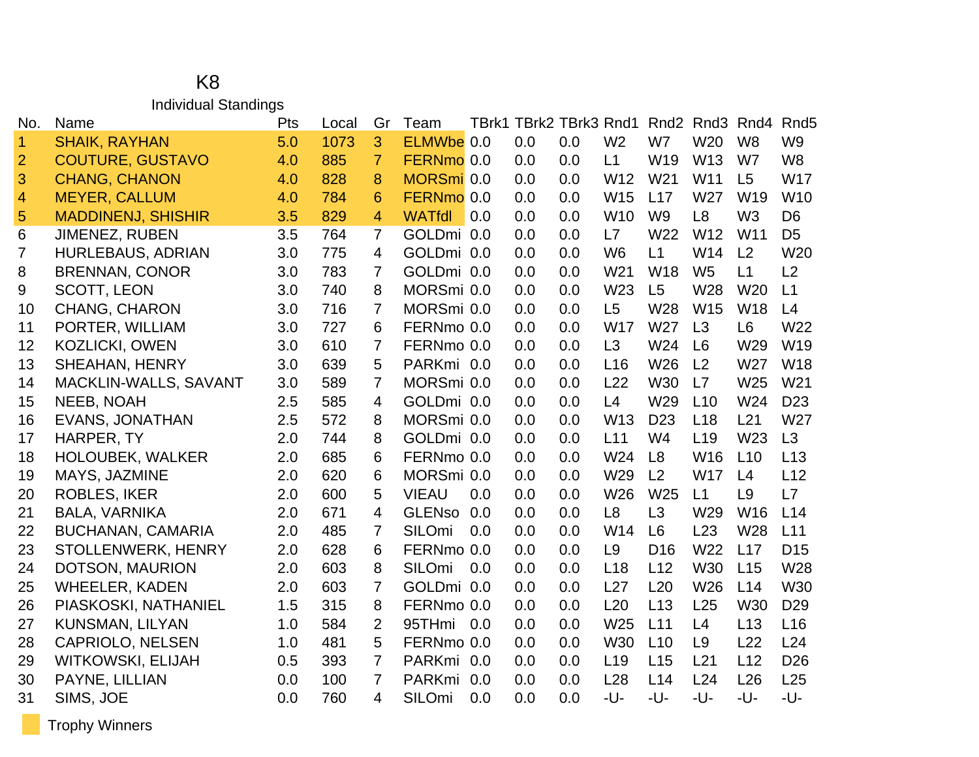#### K8 Individual Standings

| No.            | Name                      | Pts | Local | Gr             | Team          |     |     | TBrk1 TBrk2 TBrk3 Rnd1 |                 |                 | Rnd <sub>2</sub> Rnd <sub>3</sub> | Rnd4            | Rnd <sub>5</sub> |
|----------------|---------------------------|-----|-------|----------------|---------------|-----|-----|------------------------|-----------------|-----------------|-----------------------------------|-----------------|------------------|
| $\mathbf{1}$   | <b>SHAIK, RAYHAN</b>      | 5.0 | 1073  | 3              | ELMWbe 0.0    |     | 0.0 | 0.0                    | W <sub>2</sub>  | W7              | W <sub>20</sub>                   | W <sub>8</sub>  | W <sub>9</sub>   |
| $\overline{2}$ | <b>COUTURE, GUSTAVO</b>   | 4.0 | 885   | $\overline{7}$ | FERNmo 0.0    |     | 0.0 | 0.0                    | L1              | W19             | W13                               | W7              | W <sub>8</sub>   |
| 3              | <b>CHANG, CHANON</b>      | 4.0 | 828   | 8              | MORSmi 0.0    |     | 0.0 | 0.0                    | W12             | W <sub>21</sub> | W11                               | L5              | <b>W17</b>       |
| $\overline{4}$ | <b>MEYER, CALLUM</b>      | 4.0 | 784   | 6              | FERNmo 0.0    |     | 0.0 | 0.0                    | W15             | L17             | W27                               | W19             | W10              |
| 5              | <b>MADDINENJ, SHISHIR</b> | 3.5 | 829   | 4              | <b>WATfdl</b> | 0.0 | 0.0 | 0.0                    | W <sub>10</sub> | W <sub>9</sub>  | L8                                | W <sub>3</sub>  | D <sub>6</sub>   |
| 6              | <b>JIMENEZ, RUBEN</b>     | 3.5 | 764   | $\overline{7}$ | GOLDmi 0.0    |     | 0.0 | 0.0                    | L7              | W22             | W <sub>12</sub>                   | W <sub>11</sub> | D <sub>5</sub>   |
| 7              | <b>HURLEBAUS, ADRIAN</b>  | 3.0 | 775   | 4              | GOLDmi 0.0    |     | 0.0 | 0.0                    | W <sub>6</sub>  | L1              | W14                               | L2              | W20              |
| 8              | <b>BRENNAN, CONOR</b>     | 3.0 | 783   | $\overline{7}$ | GOLDmi 0.0    |     | 0.0 | 0.0                    | W <sub>21</sub> | W18             | W <sub>5</sub>                    | L1              | L2               |
| 9              | <b>SCOTT, LEON</b>        | 3.0 | 740   | 8              | MORSmi 0.0    |     | 0.0 | 0.0                    | W23             | L5              | W28                               | W <sub>20</sub> | L1               |
| 10             | <b>CHANG, CHARON</b>      | 3.0 | 716   | 7              | MORSmi 0.0    |     | 0.0 | 0.0                    | L5              | W28             | W15                               | W <sub>18</sub> | L4               |
| 11             | PORTER, WILLIAM           | 3.0 | 727   | 6              | FERNmo 0.0    |     | 0.0 | 0.0                    | <b>W17</b>      | W27             | L3                                | L <sub>6</sub>  | W <sub>22</sub>  |
| 12             | KOZLICKI, OWEN            | 3.0 | 610   | $\overline{7}$ | FERNmo 0.0    |     | 0.0 | 0.0                    | L3              | W24             | L6                                | W29             | W19              |
| 13             | <b>SHEAHAN, HENRY</b>     | 3.0 | 639   | 5              | PARKmi 0.0    |     | 0.0 | 0.0                    | L16             | W26             | L <sub>2</sub>                    | W27             | W18              |
| 14             | MACKLIN-WALLS, SAVANT     | 3.0 | 589   | 7              | MORSmi 0.0    |     | 0.0 | 0.0                    | L22             | W30             | L7                                | W <sub>25</sub> | W <sub>21</sub>  |
| 15             | NEEB, NOAH                | 2.5 | 585   | 4              | GOLDmi 0.0    |     | 0.0 | 0.0                    | L4              | W29             | L10                               | W24             | D <sub>23</sub>  |
| 16             | <b>EVANS, JONATHAN</b>    | 2.5 | 572   | 8              | MORSmi 0.0    |     | 0.0 | 0.0                    | W <sub>13</sub> | D <sub>23</sub> | L18                               | L21             | W27              |
| 17             | HARPER, TY                | 2.0 | 744   | 8              | GOLDmi 0.0    |     | 0.0 | 0.0                    | L11             | W4              | L19                               | W23             | L3               |
| 18             | <b>HOLOUBEK, WALKER</b>   | 2.0 | 685   | 6              | FERNmo 0.0    |     | 0.0 | 0.0                    | W24             | L8              | W16                               | L10             | L13              |
| 19             | MAYS, JAZMINE             | 2.0 | 620   | 6              | MORSmi 0.0    |     | 0.0 | 0.0                    | W29             | L <sub>2</sub>  | <b>W17</b>                        | L4              | L12              |
| 20             | <b>ROBLES, IKER</b>       | 2.0 | 600   | 5              | <b>VIEAU</b>  | 0.0 | 0.0 | 0.0                    | W26             | W <sub>25</sub> | L1                                | L9              | L7               |
| 21             | <b>BALA, VARNIKA</b>      | 2.0 | 671   | 4              | <b>GLENso</b> | 0.0 | 0.0 | 0.0                    | L <sub>8</sub>  | L3              | W29                               | W16             | L14              |
| 22             | <b>BUCHANAN, CAMARIA</b>  | 2.0 | 485   | 7              | SILOmi        | 0.0 | 0.0 | 0.0                    | W14             | L6              | L23                               | W28             | L11              |
| 23             | STOLLENWERK, HENRY        | 2.0 | 628   | 6              | FERNmo 0.0    |     | 0.0 | 0.0                    | L <sub>9</sub>  | D <sub>16</sub> | W22                               | L17             | D <sub>15</sub>  |
| 24             | DOTSON, MAURION           | 2.0 | 603   | 8              | <b>SILOmi</b> | 0.0 | 0.0 | 0.0                    | L18             | L12             | <b>W30</b>                        | L15             | W28              |
| 25             | <b>WHEELER, KADEN</b>     | 2.0 | 603   | $\overline{7}$ | GOLDmi 0.0    |     | 0.0 | 0.0                    | L27             | L20             | W26                               | L14             | <b>W30</b>       |
| 26             | PIASKOSKI, NATHANIEL      | 1.5 | 315   | 8              | FERNmo 0.0    |     | 0.0 | 0.0                    | L20             | L13             | L25                               | W30             | D <sub>29</sub>  |
| 27             | <b>KUNSMAN, LILYAN</b>    | 1.0 | 584   | $\overline{2}$ | 95THmi        | 0.0 | 0.0 | 0.0                    | W25             | L11             | L4                                | L13             | L <sub>16</sub>  |
| 28             | <b>CAPRIOLO, NELSEN</b>   | 1.0 | 481   | 5              | FERNmo 0.0    |     | 0.0 | 0.0                    | <b>W30</b>      | L10             | L <sub>9</sub>                    | L22             | L24              |
| 29             | <b>WITKOWSKI, ELIJAH</b>  | 0.5 | 393   | $\overline{7}$ | PARKmi        | 0.0 | 0.0 | 0.0                    | L <sub>19</sub> | L15             | L21                               | L12             | D <sub>26</sub>  |
| 30             | PAYNE, LILLIAN            | 0.0 | 100   | 7              | PARKmi        | 0.0 | 0.0 | 0.0                    | L28             | L14             | L24                               | L26             | L25              |
| 31             | SIMS, JOE                 | 0.0 | 760   | 4              | SILOmi        | 0.0 | 0.0 | 0.0                    | -U-             | -U-             | -U-                               | -U-             | -U-              |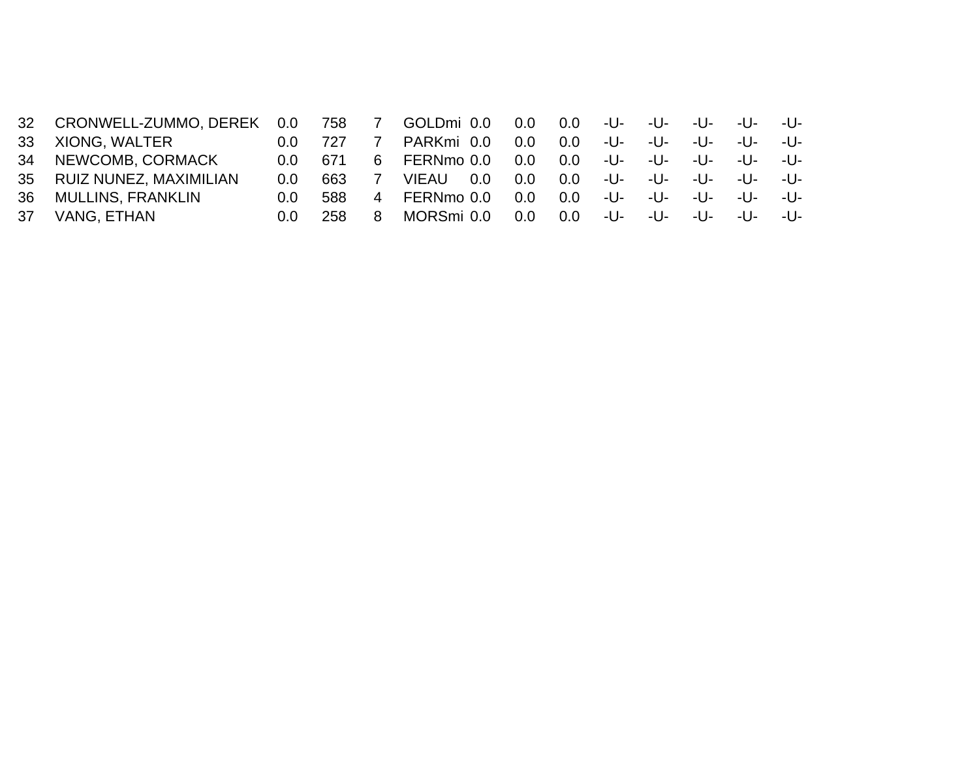|                                                                                                              |                              | <sup>7</sup> |                     |                   | 0.0          |                | -U-    | -U-                              | $-11-$ | $-11-$ |
|--------------------------------------------------------------------------------------------------------------|------------------------------|--------------|---------------------|-------------------|--------------|----------------|--------|----------------------------------|--------|--------|
| $0.0^{\circ}$                                                                                                |                              |              | PARKmi 0.0          | 0.0               | 0.0          | -U-            | -U-    | $-11-$                           | $-11-$ | $-11-$ |
| $0.0^-$                                                                                                      | -671                         |              |                     | 0.0               | $0.0\degree$ |                | $-11-$ | $-11-$                           | $-11-$ | $-11-$ |
| $0.0^{\circ}$                                                                                                | 663                          |              | <b>VIEAU</b><br>0.0 | 0.0 <sub>1</sub>  | 0.0          |                | -U-    | $-11-$                           | $-11-$ | $-11-$ |
| $0.0^{\circ}$                                                                                                | 588                          |              | FERNmo 0.0          | 0.0               | 0.0          | -U-            | -U-    | $-11-$                           | $-11-$ | $-11-$ |
| $0.0^-$                                                                                                      | 258                          | 8            | MORSmi 0.0          | 0.0               | $0.0\,$      | -U-            | -U-    | -U-                              | $-11-$ | $-11-$ |
| XIONG. WALTER<br>34 NEWCOMB, CORMACK<br>35 RUIZ NUNEZ, MAXIMILIAN<br><b>MULLINS, FRANKLIN</b><br>VANG, ETHAN | 32 CRONWELL-ZUMMO, DEREK 0.0 | 758          |                     | 6 FERNmo 0.0<br>4 |              | GOLDmi 0.0 0.0 |        | . <b>-U-</b> -<br>. <b>-U-</b> - |        |        |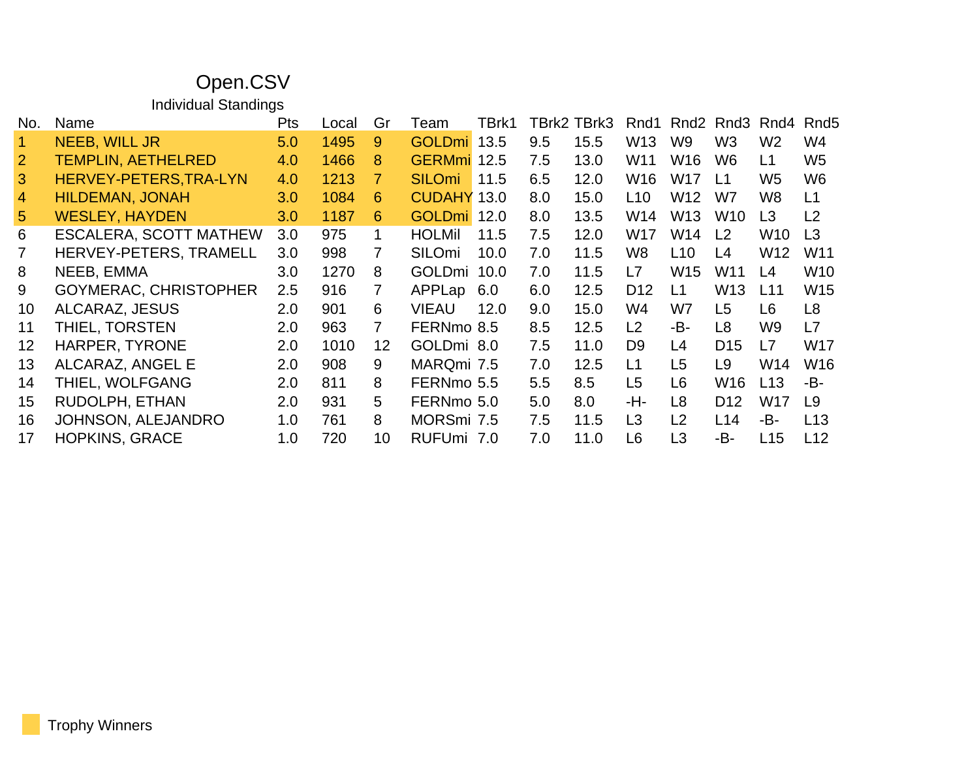### Open.CSV

Individual Standings

| No.             | Name                          | <b>Pts</b> | Local | Gr              | Team               | TBrk1 |     | TBrk2 TBrk3 | Rnd1            |                 | Rnd2 Rnd3       | Rnd4            | Rnd <sub>5</sub> |
|-----------------|-------------------------------|------------|-------|-----------------|--------------------|-------|-----|-------------|-----------------|-----------------|-----------------|-----------------|------------------|
|                 | <b>NEEB, WILL JR</b>          | 5.0        | 1495  | 9               | GOLDmi 13.5        |       | 9.5 | 15.5        | W <sub>13</sub> | W <sub>9</sub>  | W <sub>3</sub>  | W <sub>2</sub>  | W4               |
| 2               | <b>TEMPLIN, AETHELRED</b>     | 4.0        | 1466  | 8               | GERMmi 12.5        |       | 7.5 | 13.0        | W11             | W <sub>16</sub> | W6              | L1              | W <sub>5</sub>   |
| 3               | HERVEY-PETERS, TRA-LYN        | 4.0        | 1213  | 7.              | <b>SILOmi</b>      | 11.5  | 6.5 | 12.0        | W16             | W17             | L1              | W5              | W <sub>6</sub>   |
| $\overline{4}$  | <b>HILDEMAN, JONAH</b>        | 3.0        | 1084  | 6               | <b>CUDAHY 13.0</b> |       | 8.0 | 15.0        | L <sub>10</sub> | W <sub>12</sub> | W7              | W8              | L1               |
| 5 <sup>5</sup>  | <b>WESLEY, HAYDEN</b>         | 3.0        | 1187  | 6               | <b>GOLDmi</b>      | 12.0  | 8.0 | 13.5        | W14             | W <sub>13</sub> | W <sub>10</sub> | L3              | L <sub>2</sub>   |
| 6               | <b>ESCALERA, SCOTT MATHEW</b> | 3.0        | 975   | 1               | <b>HOLMil</b>      | 11.5  | 7.5 | 12.0        | W17             | W14             | L2              | W <sub>10</sub> | L <sub>3</sub>   |
| $\overline{7}$  | HERVEY-PETERS, TRAMELL        | 3.0        | 998   | 7               | <b>SILOmi</b>      | 10.0  | 7.0 | 11.5        | W8              | L <sub>10</sub> | L4              | W12             | W11              |
| 8               | NEEB, EMMA                    | 3.0        | 1270  | 8               | GOLDmi             | 10.0  | 7.0 | 11.5        | L7              | W <sub>15</sub> | W11             | L4              | W <sub>10</sub>  |
| 9               | <b>GOYMERAC, CHRISTOPHER</b>  | 2.5        | 916   | $\overline{7}$  | APPLap             | 6.0   | 6.0 | 12.5        | D <sub>12</sub> | L1              | W <sub>13</sub> | L11             | W <sub>15</sub>  |
| 10              | ALCARAZ, JESUS                | 2.0        | 901   | 6               | <b>VIEAU</b>       | 12.0  | 9.0 | 15.0        | W4              | W7              | L <sub>5</sub>  | L <sub>6</sub>  | L <sub>8</sub>   |
| 11              | THIEL, TORSTEN                | 2.0        | 963   | 7               | FERNmo 8.5         |       | 8.5 | 12.5        | L2              | -B-             | L8              | W9              | L7               |
| 12 <sub>2</sub> | <b>HARPER, TYRONE</b>         | 2.0        | 1010  | 12 <sup>°</sup> | GOLDmi 8.0         |       | 7.5 | 11.0        | D <sub>9</sub>  | L4              | D <sub>15</sub> | L7              | W17              |
| 13              | ALCARAZ, ANGEL E              | 2.0        | 908   | 9               | MARQmi 7.5         |       | 7.0 | 12.5        | L1              | L <sub>5</sub>  | L <sub>9</sub>  | W14             | W <sub>16</sub>  |
| 14              | THIEL, WOLFGANG               | 2.0        | 811   | 8               | FERNmo 5.5         |       | 5.5 | 8.5         | L <sub>5</sub>  | L6              | W16             | L13             | -B-              |
| 15              | RUDOLPH, ETHAN                | 2.0        | 931   | 5.              | FERNmo 5.0         |       | 5.0 | 8.0         | -H-             | L8              | D <sub>12</sub> | W17             | L <sub>9</sub>   |
| 16              | JOHNSON, ALEJANDRO            | 1.0        | 761   | 8               | MORSmi 7.5         |       | 7.5 | 11.5        | L <sub>3</sub>  | L2              | L14             | -В-             | L13              |
| 17              | <b>HOPKINS, GRACE</b>         | 1.0        | 720   | 10              | RUFUmi 7.0         |       | 7.0 | 11.0        | L <sub>6</sub>  | L <sub>3</sub>  | -B-             | L15             | L12              |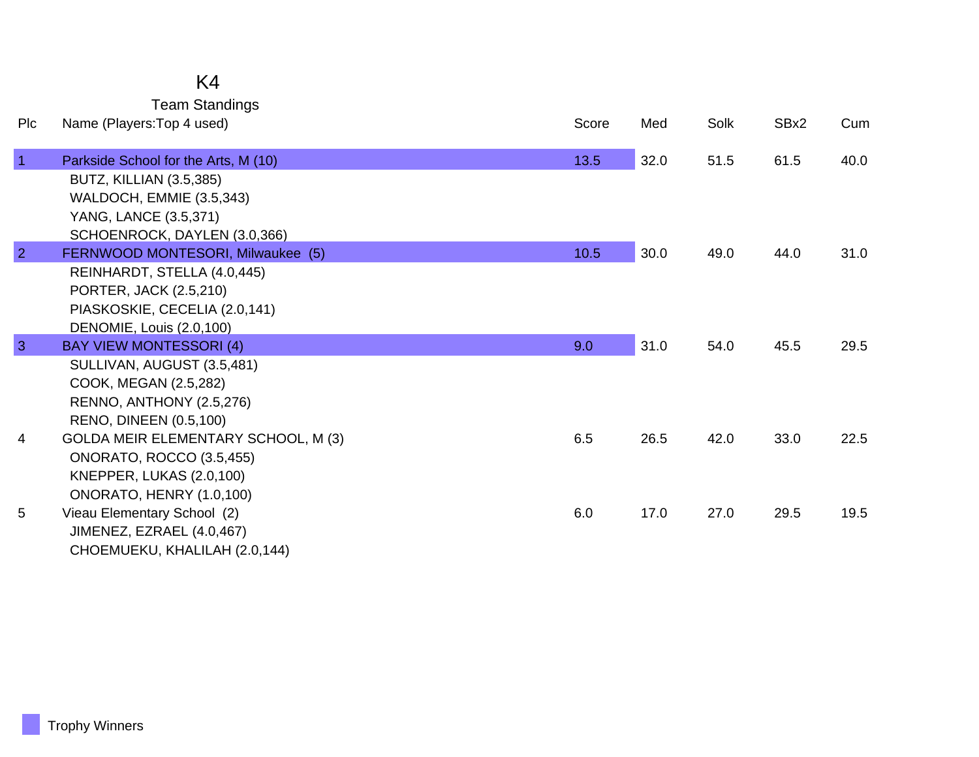## K4

Team Standings

| Plc            | Name (Players: Top 4 used)                                                                                                                         | Score | Med  | Solk | SBx2 | Cum  |
|----------------|----------------------------------------------------------------------------------------------------------------------------------------------------|-------|------|------|------|------|
| $\overline{1}$ | Parkside School for the Arts, M (10)<br><b>BUTZ, KILLIAN (3.5,385)</b><br>WALDOCH, EMMIE (3.5,343)                                                 | 13.5  | 32.0 | 51.5 | 61.5 | 40.0 |
| $\overline{2}$ | YANG, LANCE (3.5,371)<br>SCHOENROCK, DAYLEN (3.0,366)<br>FERNWOOD MONTESORI, Milwaukee (5)                                                         | 10.5  | 30.0 | 49.0 | 44.0 | 31.0 |
|                | REINHARDT, STELLA (4.0,445)<br>PORTER, JACK (2.5,210)<br>PIASKOSKIE, CECELIA (2.0,141)                                                             |       |      |      |      |      |
|                | DENOMIE, Louis (2.0,100)                                                                                                                           |       |      |      |      |      |
| $\overline{3}$ | <b>BAY VIEW MONTESSORI (4)</b><br>SULLIVAN, AUGUST (3.5,481)<br>COOK, MEGAN (2.5,282)<br>RENNO, ANTHONY (2.5,276)<br><b>RENO, DINEEN (0.5,100)</b> | 9.0   | 31.0 | 54.0 | 45.5 | 29.5 |
| 4              | GOLDA MEIR ELEMENTARY SCHOOL, M (3)<br><b>ONORATO, ROCCO (3.5,455)</b><br>KNEPPER, LUKAS (2.0,100)<br>ONORATO, HENRY (1.0,100)                     | 6.5   | 26.5 | 42.0 | 33.0 | 22.5 |
| 5              | Vieau Elementary School (2)<br>JIMENEZ, EZRAEL (4.0,467)<br>CHOEMUEKU, KHALILAH (2.0,144)                                                          | 6.0   | 17.0 | 27.0 | 29.5 | 19.5 |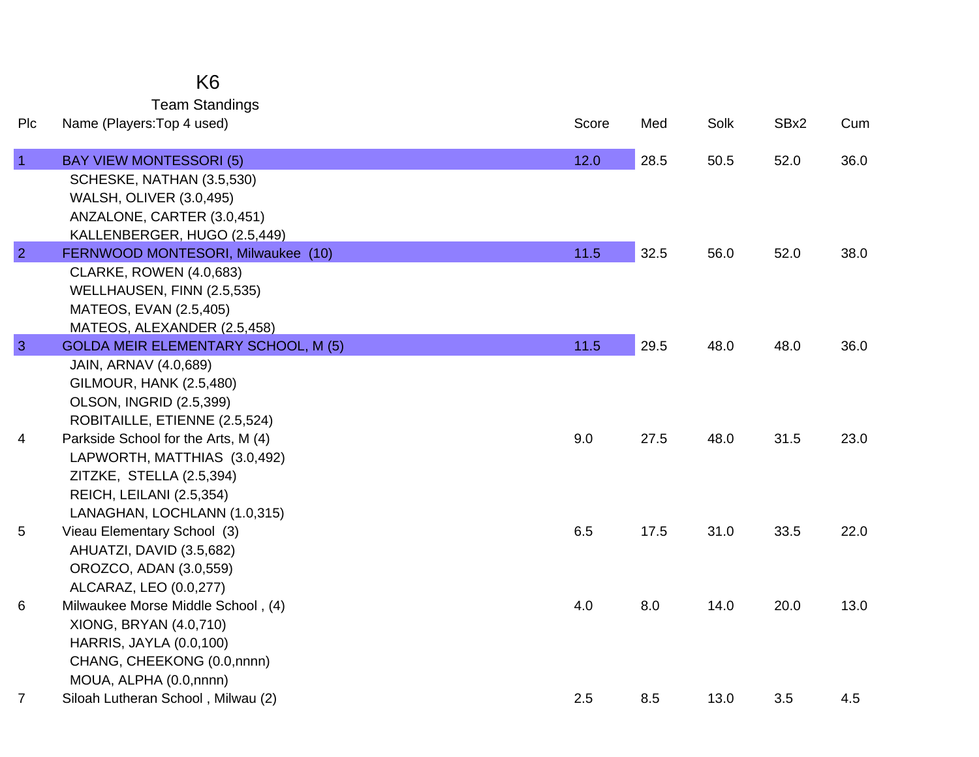|                | K <sub>6</sub>                             |       |      |      |      |      |
|----------------|--------------------------------------------|-------|------|------|------|------|
|                | <b>Team Standings</b>                      |       |      |      |      |      |
| Plc            | Name (Players: Top 4 used)                 | Score | Med  | Solk | SBx2 | Cum  |
| $\overline{1}$ | <b>BAY VIEW MONTESSORI (5)</b>             | 12.0  | 28.5 | 50.5 | 52.0 | 36.0 |
|                | SCHESKE, NATHAN (3.5,530)                  |       |      |      |      |      |
|                | <b>WALSH, OLIVER (3.0,495)</b>             |       |      |      |      |      |
|                | ANZALONE, CARTER (3.0,451)                 |       |      |      |      |      |
|                | KALLENBERGER, HUGO (2.5,449)               |       |      |      |      |      |
| $\overline{2}$ | FERNWOOD MONTESORI, Milwaukee (10)         | 11.5  | 32.5 | 56.0 | 52.0 | 38.0 |
|                | <b>CLARKE, ROWEN (4.0,683)</b>             |       |      |      |      |      |
|                | WELLHAUSEN, FINN (2.5,535)                 |       |      |      |      |      |
|                | MATEOS, EVAN (2.5,405)                     |       |      |      |      |      |
|                | MATEOS, ALEXANDER (2.5,458)                |       |      |      |      |      |
| 3              | <b>GOLDA MEIR ELEMENTARY SCHOOL, M (5)</b> | 11.5  | 29.5 | 48.0 | 48.0 | 36.0 |
|                | <b>JAIN, ARNAV (4.0,689)</b>               |       |      |      |      |      |
|                | <b>GILMOUR, HANK (2.5,480)</b>             |       |      |      |      |      |
|                | <b>OLSON, INGRID (2.5,399)</b>             |       |      |      |      |      |
|                | ROBITAILLE, ETIENNE (2.5,524)              |       |      |      |      |      |
| 4              | Parkside School for the Arts, M (4)        | 9.0   | 27.5 | 48.0 | 31.5 | 23.0 |
|                | LAPWORTH, MATTHIAS (3.0,492)               |       |      |      |      |      |
|                | ZITZKE, STELLA (2.5,394)                   |       |      |      |      |      |
|                | REICH, LEILANI (2.5,354)                   |       |      |      |      |      |
|                | LANAGHAN, LOCHLANN (1.0,315)               |       |      |      |      |      |
| 5              | Vieau Elementary School (3)                | 6.5   | 17.5 | 31.0 | 33.5 | 22.0 |
|                | AHUATZI, DAVID (3.5,682)                   |       |      |      |      |      |
|                | OROZCO, ADAN (3.0,559)                     |       |      |      |      |      |
|                | ALCARAZ, LEO (0.0,277)                     |       |      |      |      |      |
| 6              | Milwaukee Morse Middle School, (4)         | 4.0   | 8.0  | 14.0 | 20.0 | 13.0 |
|                | XIONG, BRYAN (4.0,710)                     |       |      |      |      |      |
|                | <b>HARRIS, JAYLA (0.0,100)</b>             |       |      |      |      |      |
|                | CHANG, CHEEKONG (0.0,nnnn)                 |       |      |      |      |      |

7 Siloah Lutheran School , Milwau (2) 2.5 8.5 13.0 3.5 4.5

MOUA, ALPHA (0.0,nnnn)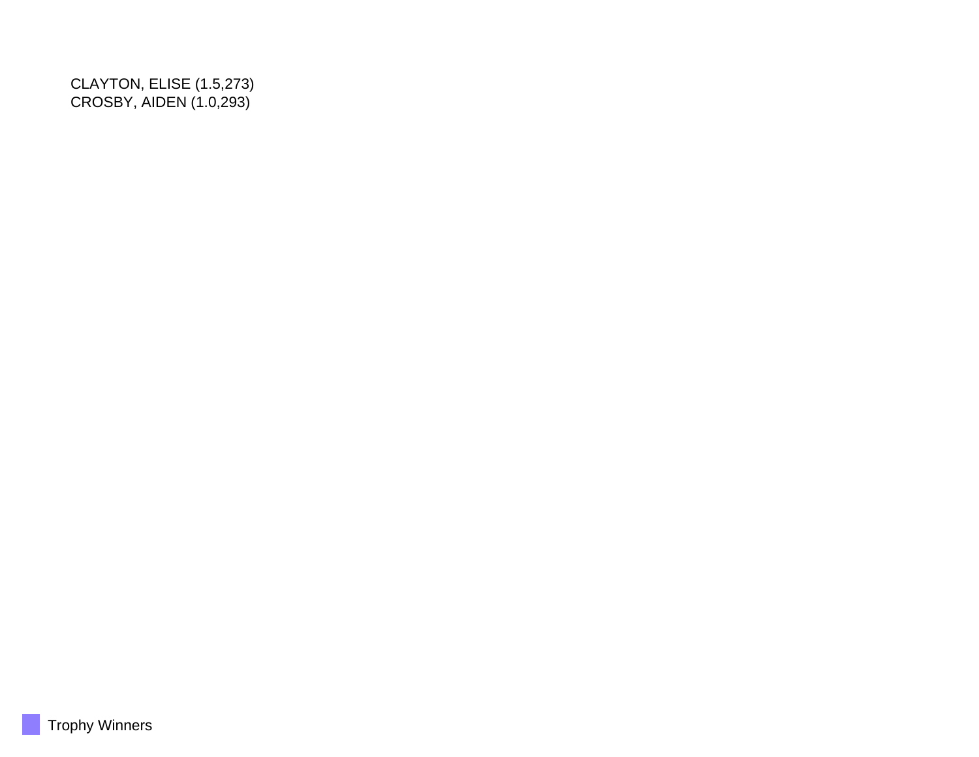CLAYTON, ELISE (1.5,273) CROSBY, AIDEN (1.0,293)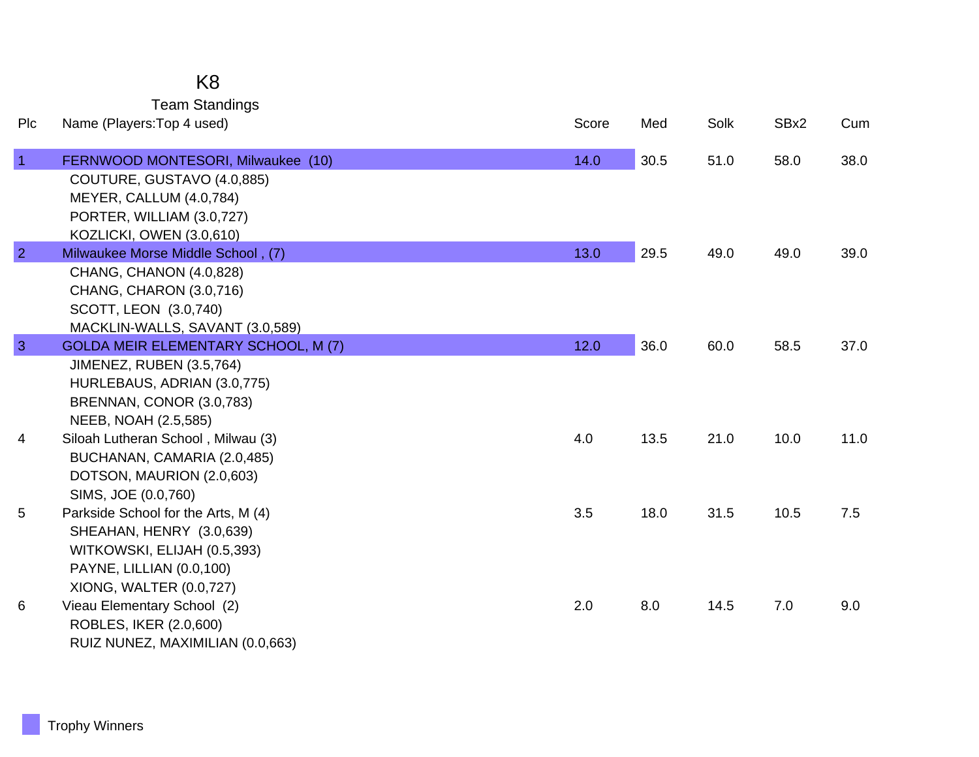## K8

Team Standings

| Plc            | Name (Players: Top 4 used)                                                                                                                            | Score | Med  | Solk | SBx2 | Cum  |
|----------------|-------------------------------------------------------------------------------------------------------------------------------------------------------|-------|------|------|------|------|
| $\overline{1}$ | FERNWOOD MONTESORI, Milwaukee (10)<br>COUTURE, GUSTAVO (4.0,885)<br>MEYER, CALLUM (4.0,784)<br>PORTER, WILLIAM (3.0,727)                              | 14.0  | 30.5 | 51.0 | 58.0 | 38.0 |
|                | KOZLICKI, OWEN (3.0,610)                                                                                                                              |       |      |      |      |      |
| $\overline{2}$ | Milwaukee Morse Middle School, (7)                                                                                                                    | 13.0  | 29.5 | 49.0 | 49.0 | 39.0 |
|                | CHANG, CHANON (4.0,828)<br>CHANG, CHARON (3.0,716)<br>SCOTT, LEON (3.0,740)<br>MACKLIN-WALLS, SAVANT (3.0,589)                                        |       |      |      |      |      |
| $\overline{3}$ | <b>GOLDA MEIR ELEMENTARY SCHOOL, M (7)</b>                                                                                                            | 12.0  | 36.0 | 60.0 | 58.5 | 37.0 |
|                | <b>JIMENEZ, RUBEN (3.5,764)</b><br>HURLEBAUS, ADRIAN (3.0,775)<br>BRENNAN, CONOR (3.0,783)<br>NEEB, NOAH (2.5,585)                                    |       |      |      |      |      |
| 4              | Siloah Lutheran School, Milwau (3)<br>BUCHANAN, CAMARIA (2.0,485)<br>DOTSON, MAURION (2.0,603)<br>SIMS, JOE (0.0,760)                                 | 4.0   | 13.5 | 21.0 | 10.0 | 11.0 |
| 5              | Parkside School for the Arts, M (4)<br>SHEAHAN, HENRY (3.0,639)<br>WITKOWSKI, ELIJAH (0.5,393)<br>PAYNE, LILLIAN (0.0,100)<br>XIONG, WALTER (0.0,727) | 3.5   | 18.0 | 31.5 | 10.5 | 7.5  |
| 6              | Vieau Elementary School (2)<br>ROBLES, IKER (2.0,600)<br>RUIZ NUNEZ, MAXIMILIAN (0.0,663)                                                             | 2.0   | 8.0  | 14.5 | 7.0  | 9.0  |